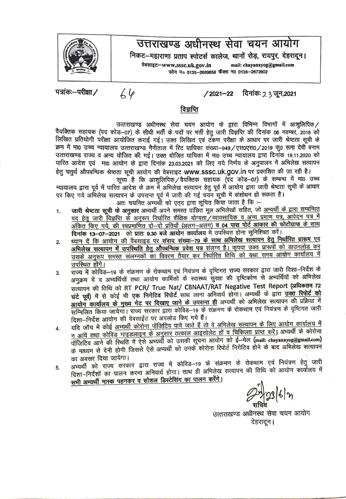

## उत्तराखण्ड अधीनस्थ सेवा चयन आयोग

निकट-महाराणा प्रताप स्पोटर्स कालेज, थानों रोड़, रायपुर, देहरादून। **~-www.sssc.uk.gov.in mall: chayanayog@gmallcom**  1'i"R -Jo **0135-2669858** ~ -JO **0135-2672902** 

पत्रांकः-परीक्षा /

 $64$ 

**/2021-22** ~: 2 3, **\iff,2021** 

## विज्ञप्ति

उत्तराखण्ड अधीनस्थ सेवा चयन आयोग के द्वारा विभिन्न विभागों में आशुलिपिक/

वैयक्तिक सहायक (पद कोड–07) के सीधी भर्ती के पदों पर भर्ती हेतु जारी विज्ञप्ति की दिनांक 06 नवम्बर, 2016 को पद्मापतक तहायक (पद काड—07) के सीधा मता के पदा पर मता हेतु जारा विज्ञाप्त का दिनाक 06 नवम्बर, 2016 का<br>लिखित प्रतियोगी परीक्षा आयोजित कराई गई। उक्त लिखित एवं टंकण परीक्षा के आधार पर जारी श्रेष्टता सूची के क्रम में मा0 उच्च न्यायालय उत्तराखण्ड नैनीताल में रिट याचिका संख्या-949/एस0एस0/2019 कू0 रूमा देवी बनाम उत्तराखण्ड राज्य व अन्य योजित की गई। उक्त योजित याचिका में मा0 उच्च न्यायालय द्वारा दिनांक 19.11.2020 को पारित आदेश एवं मा0 आयोग के द्वारा दिनांक 23.03.2021 को लिए गये निर्णय के अनुपालन में अभिलेख सत्यापन हेतू चतुर्थ औपबन्धिक श्रेष्ठता सूची आयोग की वेबसाइट www.sssc.uk.gov.in पर प्रकाशित की जा रही है।

सूच्य है कि आशुलिपिक / वैयक्तिक सहायक (पद कोड-07) के सम्बन्ध में मा0 उच्च न्यायालय द्वारा पूर्व में पारित आदेश के क्रम में अभिलेख सत्यापन हेतु पूर्व में आयोग द्वारा जारी श्रेष्टता सूची के आधार पर किए गये अभिलेख सत्यापन के उपरान्त पूर्व में जारी की गई चयन सूची में संशोधन हो सकता है।

अतः चयनित अभ्यर्थी को एतुद द्वारा सूचित किया जाता है कि :-

- 1. जारी श्रेष्टता सूची के अनुसार अभ्यर्थी अपने समस्त वाछित मूल अभिलेखों सहित, जो <u>अभ्यर्थी के द्वारा सम्बन्धित</u> पद हेतू जारी विज्ञप्ति के अनुरूप निर्धारित शैक्षिक योग्यता टे व्यावसायिक व अन्य प्रमाण पत्र, आवेदन पत्र में 3fकित किए गये, की स्वप्रमाणित दो-दो प्रतियाँ (अलग-अलग) व 04 पास पोर्ट आकार की फोटोग्राफ के साथ दिनांक 13-07-2021 को प्रातः 9.30 बजे आयोग कार्यालय में उपस्थित होना सुनिश्चित करें।
- 2. <u>ध्यान दें कि आयोग की वैबसाइड पर संवाद संख्या–79 के साथ अभिलेख सत्यापन हेतु निर्घारित प्रारूप एव</u> अभिलेख सत्यापन में उपस्थिति हेतु औपबन्धिक प्रवेश पत्र संलग्न है। कृपया उक्त प्रारूपों को डाउनलोड कर -<br>उसके अनुरूप समस्त संलग्नकों का विवरण तैयार कर निर्धारित तिथि को यथा समय आयोग कार्यालय में उपस्थित होंगे।
- 3. राज्य में कोविड-19 के संक्रमण के रोकथाम एवं नियंत्रण के दृष्टिगत राज्य सरकार द्वारा जारी दिशा-निर्देश के अनुक्रम में व अभ्यर्थियों तथा आयोग कार्मिकों के स्वास्थ्य सुरक्षा की दृष्टिकोण से अभ्यर्थियों को अभिलेख सत्यापन की तिथि को RT PCR/ True Nat/ CBNAAT/RAT Negative Test Report (अधिकतम 72 घंटे पूर्व) में से कोई भी एक निगेटिव रिपोर्ट साथ लाना अनिवार्य होगा। अभ्यर्थी के द्वारा <u>उक्त रिपोर्ट को</u> आयोग कार्यालय के मुख्य गेट पर दिखाए जाने के उपरान्त ही अभ्यर्थी को अभिलेख सत्यापन की प्रक्रिया में 'tl~~a fc);-irr uITWTTI ~ ffi<ffl GRT ~-19 '\$ ~ '\$ <sup>~</sup>~ <sup>~</sup>'\$ ~ <sup>~</sup> दिशा-निर्देश आयोग की वेबसाईट पर अपलोड किए गये हैं।
- **4.** ~ 'GITil' -q ~ <sup>~</sup>cfITTR1 q'ffGtfeq qm '1fRf ~ clT ~ <sup>~</sup>tlflll4'1 ~ <sup>~</sup>3WIT1T ctilllfclll <sup>q</sup> न आंये तथा कोविड गाइडलाइन के अनुसार तत्काल आइसोलेट हों व चिकित्सा प्राप्त करें। अभ्यर्थी के कोरोना <sup>q</sup>1fGt feq 3lR qft ~ 1l ~ 31'Rl~ <ITT ~ <sup>~</sup>3TI<WT <fl)- ~- lfcl' **(mail: chayaoayog@gmail.com)**  <sub>के माध्यम से देनी होगी जिससे ऐसे अभ्यर्थी को उनके कोरोना रिपोर्ट निगेटिव होने के बाद अभिलेख सत्यापन</sub> का अवसर दिया जायेगा।
- $5.$  31  $\overline{31}$  को राज्य सरकार द्वारा राज्य में कोविड–19 के संक्रमण के रोकथाम एवं नियंत्रण हेतु जारी दिशा—निर्देशों का पालन करना अनिवार्य होगा। साथ ही अभिलेख सत्यापन की तिथि को आयोग कार्यालय में सभी अभ्यर्थी मास्क पहनकर व सोशल डिस्टेसिंग का पालन करेंगे।

उत्तराखण्ड अधीनस्थ सेवा चयन आयोग देहरादन।